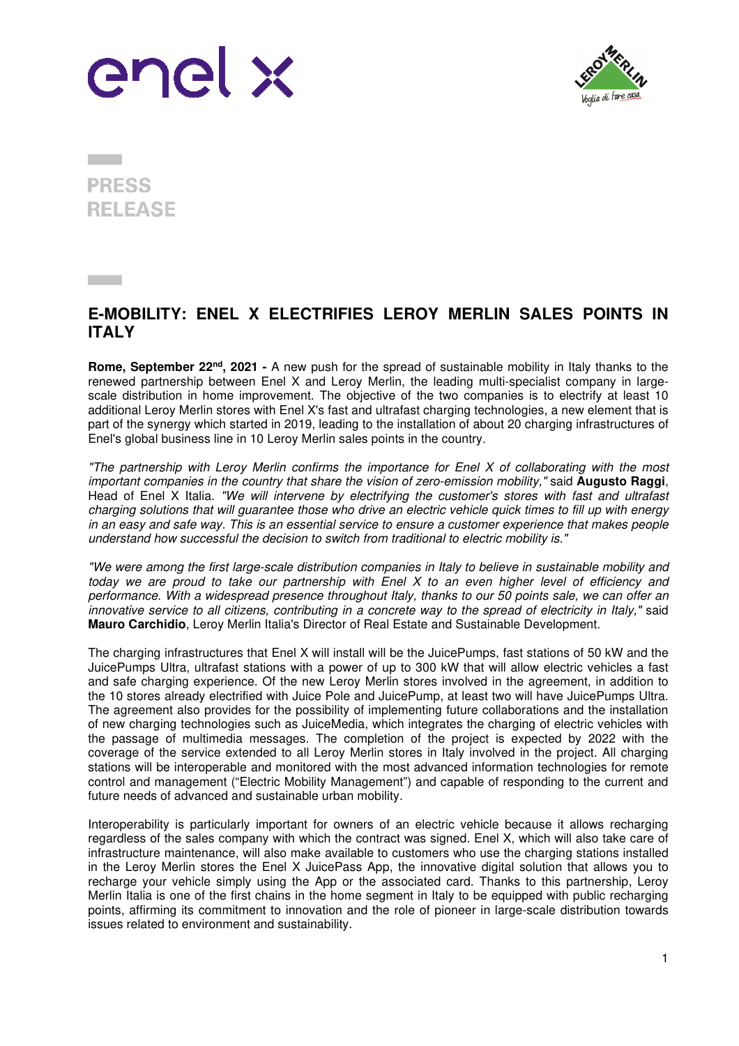



**PRESS RELEASE** 

## **E-MOBILITY: ENEL X ELECTRIFIES LEROY MERLIN SALES POINTS IN ITALY**

**Rome, September 22nd, 2021 -** A new push for the spread of sustainable mobility in Italy thanks to the renewed partnership between Enel X and Leroy Merlin, the leading multi-specialist company in largescale distribution in home improvement. The objective of the two companies is to electrify at least 10 additional Leroy Merlin stores with Enel X's fast and ultrafast charging technologies, a new element that is part of the synergy which started in 2019, leading to the installation of about 20 charging infrastructures of Enel's global business line in 10 Leroy Merlin sales points in the country.

"The partnership with Leroy Merlin confirms the importance for Enel X of collaborating with the most important companies in the country that share the vision of zero-emission mobility," said **Augusto Raggi**, Head of Enel X Italia. "We will intervene by electrifying the customer's stores with fast and ultrafast charging solutions that will guarantee those who drive an electric vehicle quick times to fill up with energy in an easy and safe way. This is an essential service to ensure a customer experience that makes people understand how successful the decision to switch from traditional to electric mobility is."

"We were among the first large-scale distribution companies in Italy to believe in sustainable mobility and today we are proud to take our partnership with Enel X to an even higher level of efficiency and performance. With a widespread presence throughout Italy, thanks to our 50 points sale, we can offer an innovative service to all citizens, contributing in a concrete way to the spread of electricity in Italy," said **Mauro Carchidio**, Leroy Merlin Italia's Director of Real Estate and Sustainable Development.

The charging infrastructures that Enel X will install will be the JuicePumps, fast stations of 50 kW and the JuicePumps Ultra, ultrafast stations with a power of up to 300 kW that will allow electric vehicles a fast and safe charging experience. Of the new Leroy Merlin stores involved in the agreement, in addition to the 10 stores already electrified with Juice Pole and JuicePump, at least two will have JuicePumps Ultra. The agreement also provides for the possibility of implementing future collaborations and the installation of new charging technologies such as JuiceMedia, which integrates the charging of electric vehicles with the passage of multimedia messages. The completion of the project is expected by 2022 with the coverage of the service extended to all Leroy Merlin stores in Italy involved in the project. All charging stations will be interoperable and monitored with the most advanced information technologies for remote control and management ("Electric Mobility Management") and capable of responding to the current and future needs of advanced and sustainable urban mobility.

Interoperability is particularly important for owners of an electric vehicle because it allows recharging regardless of the sales company with which the contract was signed. Enel X, which will also take care of infrastructure maintenance, will also make available to customers who use the charging stations installed in the Leroy Merlin stores the Enel X JuicePass App, the innovative digital solution that allows you to recharge your vehicle simply using the App or the associated card. Thanks to this partnership, Leroy Merlin Italia is one of the first chains in the home segment in Italy to be equipped with public recharging points, affirming its commitment to innovation and the role of pioneer in large-scale distribution towards issues related to environment and sustainability.